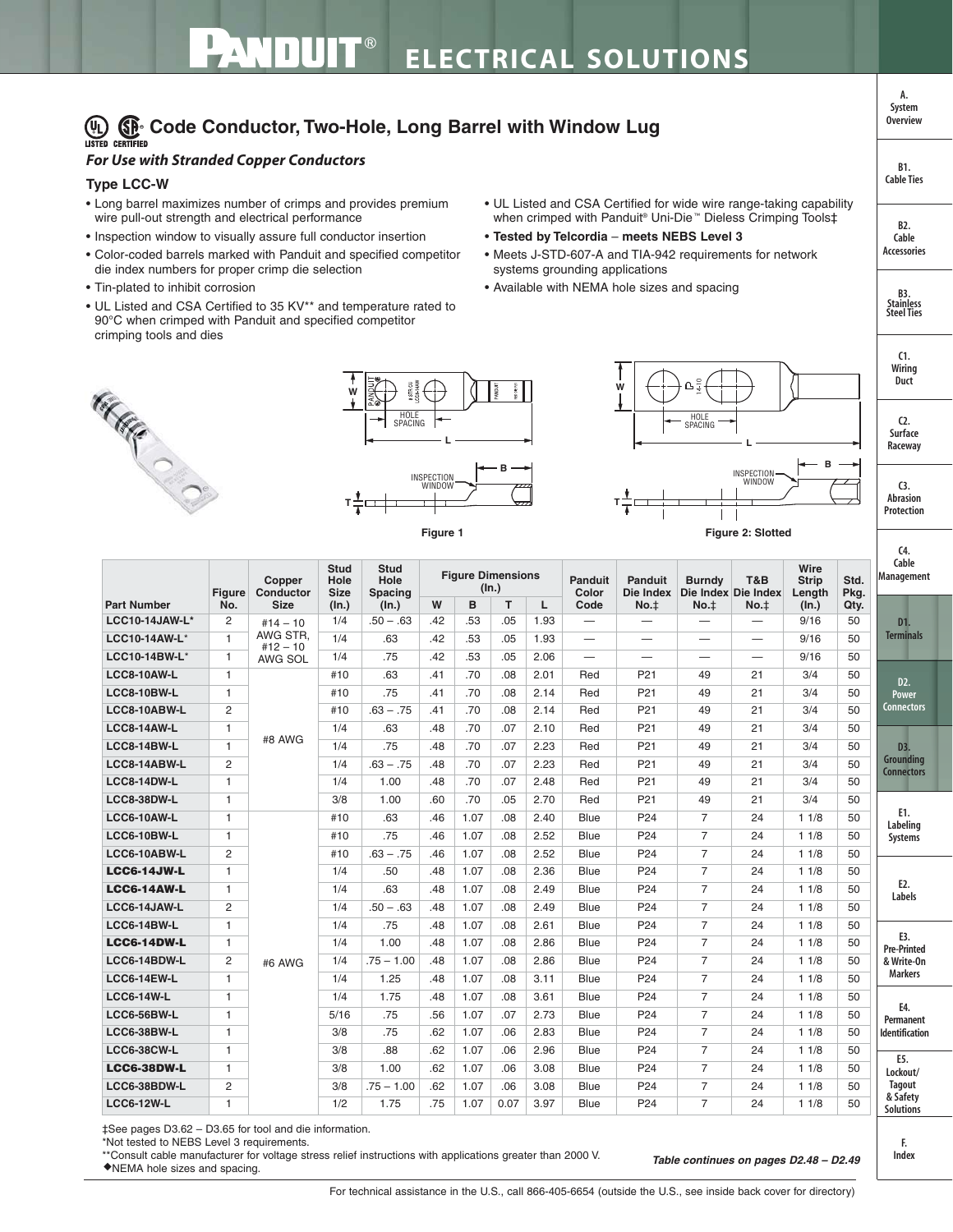## **(A)**  $\bigoplus$  Code Conductor, Two-Hole, Long Barrel with Window Lug

## *For Use with Stranded Copper Conductors*

## **Type LCC-W**

- Long barrel maximizes number of crimps and provides premium wire pull-out strength and electrical performance
- Inspection window to visually assure full conductor insertion
- Color-coded barrels marked with Panduit and specified competitor die index numbers for proper crimp die selection
- Tin-plated to inhibit corrosion
- UL Listed and CSA Certified to 35 KV\*\* and temperature rated to 90°C when crimped with Panduit and specified competitor crimping tools and dies
- UL Listed and CSA Certified for wide wire range-taking capability when crimped with Panduit® Uni-Die ™ Dieless Crimping Tools‡
- **Tested by Telcordia meets NEBS Level 3**
- Meets J-STD-607-A and TIA-942 requirements for network systems grounding applications
- Available with NEMA hole sizes and spacing







**T**









**Table continues on pages D2.48 – D2.49**

**Cable Management D1. Terminals D2. Power Connectors E1. Labeling Systems E2. Labels E3. Pre-Printed & Write-On Markers E5. Lockout/ Tagout & Safety Solutions D3. Grounding Connectors E4. Permanent Identification Part Number Figure No. Copper Conductor Size Stud Hole Size (In.) Stud Hole Spacing (In.) Figure Dimensions (In.) Panduit Color Code Panduit Die Index No.**‡ **Burndy Die Index Die Index No.**‡ **T&B No.**‡ **Wire Strip Length (In.) Std. Pkg. W**  $\mid$  **B**  $\mid$  **T**  $\mid$  **L**  $\mid$  Code  $\mid$  No.‡  $\mid$  No.‡  $\mid$  No.‡  $\mid$  (In.)  $\mid$  Qty. **LCC10-14JAW-L\*** 2 #14 – 10 **AWG STR**  $#12 - 10$ AWG SOL  $1/4$   $.50 - .63$   $.42$   $.53$   $.05$   $.193$   $9/16$   $.50$ **LCC10-14AW-L**\* 1 1/4 .63 .42 .53 .05 1.93 — — — — 9/16 50 **LCC10-14BW-L**\* | 1 | AWG\_SOL | 1/4 | .75 | .42 | .53 | .05 | 2.06 | — | — | — | — | — | 9/16 | 50 **LCC8-10AW-L** 1 #8 AWG #10 63 .41 .70 .08 2.01 Red P21 49 21 3/4 50 **LCC8-10BW-L** 1 #10 .75 .41 .70 .08 2.14 Red P21 49 21 3/4 50 **LCC8-10ABW-L** 2 #10 .63 – .75 .41 .70 .08 2.14 Red P21 49 21 3/4 50 **LCC8-14AW-L** 1 1/4 .63 .48 .70 .07 2.10 Red P21 49 21 3/4 50 **LCC8-14BW-L** 1 <sup>11</sup> and 1/4 .75 .48 .70 .07 2.23 Red P21 49 21 3/4 50 **LCC8-14ABW-L** 2 1/4 .63 – .75 .48 .70 .07 2.23 Red P21 49 21 3/4 50 **LCC8-14DW-L** 1 1/4 1.00 .48 .70 .07 2.48 Red P21 49 21 3/4 50 **LCC8-38DW-L** 1 3/8 1.00 .60 .70 .05 2.70 Red P21 49 21 3/4 50 **LCC6-10AW-L** 1 #6 AWG #10 .63 .46 1.07 .08 2.40 Blue P24 7 24 1 1/8 50 **LCC6-10BW-L** 1 #10 .75 .46 1.07 .08 2.52 Blue P24 7 24 1 1/8 50 **LCC6-10ABW-L** 2 #10 .63 – .75 .46 1.07 .08 2.52 Blue P24 7 24 1 1/8 50 **LCC6-14JW-L** 1 1 1/4 .50 .48 1.07 .08 2.36 Blue P24 7 24 11/8 50 **LCC6-14AW-L** 1 1/4 .63 .48 1.07 .08 2.49 Blue P24 7 24 1 1/8 50 **LCC6-14JAW-L** 2 1/4 50 – .63 .48 1.07 .08 2.49 Blue P24 7 24 11/8 50 **LCC6-14BW-L** 1 1/4 .75 .48 1.07 .08 2.61 Blue P24 7 24 1 1/8 50 **LCC6-14DW-L** 1 1/4 1.00 .48 1.07 .08 2.86 Blue P24 7 24 1 1/8 50 **LCC6-14BDW-L** 2 1/4 .75 – 1.00 .48 1.07 .08 2.86 Blue P24 7 24 1 1/8 50 **LCC6-14EW-L** 1 1 1/4 1.25 .48 1.07 .08 3.11 Blue P24 7 24 11/8 50 **LCC6-14W-L** 1 1/4 1.75 .48 1.07 .08 3.61 Blue P24 7 24 1 1/8 50 **LCC6-56BW-L** 1 1 5/16 .75 .56 1.07 .07 2.73 Blue P24 7 24 11/8 50 **LCC6-38BW-L** 1 3/8 .75 .62 1.07 .06 2.83 Blue P24 7 24 1 1/8 50 **LCC6-38CW-L** 1 3/8 3/8 .68 .62 1.07 .06 2.96 Blue P24 7 24 11/8 50 **LCC6-38DW-L** 1 3/8 1.00 .62 1.07 .06 3.08 Blue P24 7 24 11/8 50 **LCC6-38BDW-L** 2 3/8 .75 – 1.00 .62 1.07 .06 3.08 Blue P24 7 24 1 1/8 50 **LCC6-12W-L** 1 1/2 1.75 .75 1.07 0.07 3.97 Blue P24 7 24 1 1/8 50

‡See pages D3.62 – D3.65 for tool and die information.

\*Not tested to NEBS Level 3 requirements.

\*\*Consult cable manufacturer for voltage stress relief instructions with applications greater than 2000 V. ◆NEMA hole sizes and spacing.

**F. Index**

**B2. Cable Accessories**

**B1. Cable Ties**

**A. System Overview**

> **C1. Wiring Duct**

**C2. Surface Raceway**

**B3. Stainless Steel Ties**

**C3. Abrasion Protection**

**C4.**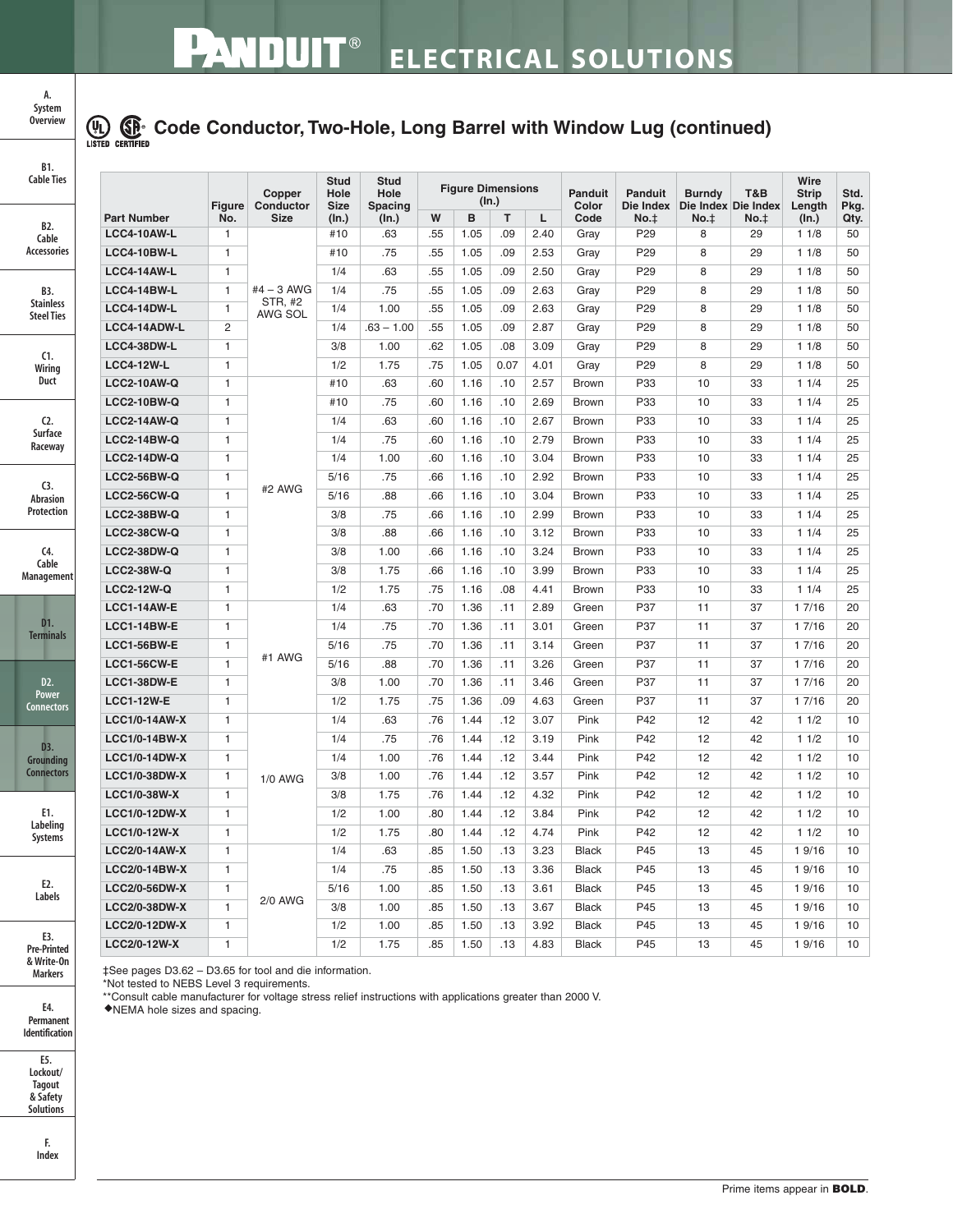

## **Code Conductor, Two-Hole, Long Barrel with Window Lug (continued)**

| B1.<br><b>Cable Ties</b>                                                            |                      | Figure       | Copper<br>Conductor | Stud<br>Hole<br><b>Size</b> | <b>Stud</b><br>Hole<br><b>Spacing</b> | <b>Figure Dimensions</b><br>(In.) |      |      |      | <b>Panduit</b><br>Color | <b>Panduit</b><br>Die Index | <b>Burndy</b><br>Die Index Die Index | T&B  | Wire<br><b>Strip</b><br>Length | Std.<br>Pkg. |
|-------------------------------------------------------------------------------------|----------------------|--------------|---------------------|-----------------------------|---------------------------------------|-----------------------------------|------|------|------|-------------------------|-----------------------------|--------------------------------------|------|--------------------------------|--------------|
|                                                                                     | <b>Part Number</b>   | No.          | <b>Size</b>         | (ln.)                       | (In.)                                 | W                                 | B    | T    | L    | Code                    | No.t                        | $No.+$                               | No.t | (ln.)                          | Qty.         |
| B2.<br>Cable                                                                        | <b>LCC4-10AW-L</b>   | $\mathbf{1}$ |                     | #10                         | .63                                   | .55                               | 1.05 | .09  | 2.40 | Gray                    | P <sub>29</sub>             | 8                                    | 29   | 11/8                           | 50           |
| <b>Accessories</b>                                                                  | <b>LCC4-10BW-L</b>   | $\mathbf{1}$ |                     | #10                         | .75                                   | .55                               | 1.05 | .09  | 2.53 | Gray                    | P <sub>29</sub>             | 8                                    | 29   | 11/8                           | 50           |
|                                                                                     | <b>LCC4-14AW-L</b>   | $\mathbf{1}$ |                     | 1/4                         | .63                                   | .55                               | 1.05 | .09  | 2.50 | Gray                    | P <sub>29</sub>             | 8                                    | 29   | 11/8                           | 50           |
| B3.                                                                                 | <b>LCC4-14BW-L</b>   | $\mathbf{1}$ | $#4 - 3$ AWG        | 1/4                         | .75                                   | .55                               | 1.05 | .09  | 2.63 | Gray                    | P <sub>29</sub>             | 8                                    | 29   | 11/8                           | 50           |
| <b>Stainless</b><br><b>Steel Ties</b>                                               | <b>LCC4-14DW-L</b>   | $\mathbf{1}$ | STR, #2<br>AWG SOL  | 1/4                         | 1.00                                  | .55                               | 1.05 | .09  | 2.63 | Gray                    | P <sub>29</sub>             | 8                                    | 29   | 11/8                           | 50           |
|                                                                                     | LCC4-14ADW-L         | 2            |                     | 1/4                         | $.63 - 1.00$                          | .55                               | 1.05 | .09  | 2.87 | Gray                    | P <sub>29</sub>             | 8                                    | 29   | 11/8                           | 50           |
| C1.                                                                                 | LCC4-38DW-L          | $\mathbf{1}$ |                     | 3/8                         | 1.00                                  | .62                               | 1.05 | .08  | 3.09 | Gray                    | P29                         | 8                                    | 29   | 11/8                           | 50           |
| Wiring                                                                              | <b>LCC4-12W-L</b>    | $\mathbf{1}$ |                     | 1/2                         | 1.75                                  | .75                               | 1.05 | 0.07 | 4.01 | Gray                    | P <sub>29</sub>             | 8                                    | 29   | 11/8                           | 50           |
| Duct                                                                                | <b>LCC2-10AW-Q</b>   | $\mathbf{1}$ |                     | #10                         | .63                                   | .60                               | 1.16 | .10  | 2.57 | <b>Brown</b>            | P33                         | 10                                   | 33   | 11/4                           | 25           |
|                                                                                     | <b>LCC2-10BW-Q</b>   | $\mathbf{1}$ |                     | #10                         | .75                                   | .60                               | 1.16 | .10  | 2.69 | <b>Brown</b>            | P33                         | 10                                   | 33   | 11/4                           | 25           |
| $C2$ .                                                                              | <b>LCC2-14AW-Q</b>   | $\mathbf{1}$ |                     | 1/4                         | .63                                   | .60                               | 1.16 | .10  | 2.67 | Brown                   | P33                         | 10                                   | 33   | 11/4                           | 25           |
| <b>Surface</b><br>Raceway<br>C <sub>3</sub><br><b>Abrasion</b><br><b>Protection</b> | <b>LCC2-14BW-Q</b>   | $\mathbf{1}$ |                     | 1/4                         | .75                                   | .60                               | 1.16 | .10  | 2.79 | <b>Brown</b>            | P33                         | 10                                   | 33   | 11/4                           | 25           |
|                                                                                     | <b>LCC2-14DW-Q</b>   | $\mathbf{1}$ |                     | 1/4                         | 1.00                                  | .60                               | 1.16 | .10  | 3.04 | <b>Brown</b>            | P33                         | 10                                   | 33   | 11/4                           | 25           |
|                                                                                     | <b>LCC2-56BW-Q</b>   | $\mathbf{1}$ |                     | 5/16                        | .75                                   | .66                               | 1.16 | .10  | 2.92 | <b>Brown</b>            | P33                         | 10                                   | 33   | 11/4                           | 25           |
|                                                                                     | <b>LCC2-56CW-Q</b>   | $\mathbf{1}$ | #2 AWG              | 5/16                        | .88                                   | .66                               | 1.16 | .10  | 3.04 | Brown                   | P33                         | 10                                   | 33   | 11/4                           | 25           |
|                                                                                     | <b>LCC2-38BW-Q</b>   | $\mathbf{1}$ |                     | 3/8                         | .75                                   | .66                               | 1.16 | .10  | 2.99 | <b>Brown</b>            | P33                         | 10                                   | 33   | 11/4                           | 25           |
|                                                                                     | <b>LCC2-38CW-Q</b>   | $\mathbf{1}$ |                     | 3/8                         | .88                                   | .66                               | 1.16 | .10  | 3.12 | <b>Brown</b>            | P33                         | 10                                   | 33   | 11/4                           | 25           |
| C <sub>4</sub>                                                                      | <b>LCC2-38DW-Q</b>   | $\mathbf{1}$ |                     | 3/8                         | 1.00                                  | .66                               | 1.16 | .10  | 3.24 | <b>Brown</b>            | P33                         | 10                                   | 33   | 11/4                           | 25           |
| Cable<br>Management                                                                 | <b>LCC2-38W-Q</b>    | $\mathbf{1}$ |                     | 3/8                         | 1.75                                  | .66                               | 1.16 | .10  | 3.99 | <b>Brown</b>            | P33                         | 10                                   | 33   | 11/4                           | 25           |
|                                                                                     | <b>LCC2-12W-Q</b>    | $\mathbf{1}$ |                     | 1/2                         | 1.75                                  | .75                               | 1.16 | .08  | 4.41 | <b>Brown</b>            | P33                         | 10                                   | 33   | 11/4                           | 25           |
|                                                                                     | <b>LCC1-14AW-E</b>   | $\mathbf{1}$ |                     | 1/4                         | .63                                   | .70                               | 1.36 | .11  | 2.89 | Green                   | P37                         | 11                                   | 37   | 1 7/16                         | 20           |
| D1.<br><b>Terminals</b>                                                             | <b>LCC1-14BW-E</b>   | $\mathbf{1}$ |                     | 1/4                         | .75                                   | .70                               | 1.36 | .11  | 3.01 | Green                   | P37                         | 11                                   | 37   | 1 7/16                         | 20           |
|                                                                                     | <b>LCC1-56BW-E</b>   | $\mathbf{1}$ |                     | 5/16                        | .75                                   | .70                               | 1.36 | .11  | 3.14 | Green                   | P37                         | 11                                   | 37   | 1 7/16                         | 20           |
|                                                                                     | <b>LCC1-56CW-E</b>   | $\mathbf{1}$ | #1 AWG              | 5/16                        | .88                                   | .70                               | 1.36 | .11  | 3.26 | Green                   | P37                         | 11                                   | 37   | 1 7/16                         | 20           |
| D2.                                                                                 | LCC1-38DW-E          | $\mathbf{1}$ |                     | 3/8                         | 1.00                                  | .70                               | 1.36 | .11  | 3.46 | Green                   | P37                         | 11                                   | 37   | 1 7/16                         | 20           |
| <b>Power</b><br><b>Connectors</b>                                                   | <b>LCC1-12W-E</b>    | $\mathbf{1}$ |                     | 1/2                         | 1.75                                  | .75                               | 1.36 | .09  | 4.63 | Green                   | P37                         | 11                                   | 37   | 1 7/16                         | 20           |
|                                                                                     | <b>LCC1/0-14AW-X</b> | $\mathbf{1}$ |                     | 1/4                         | .63                                   | .76                               | 1.44 | .12  | 3.07 | Pink                    | P42                         | 12                                   | 42   | 11/2                           | 10           |
| D3.                                                                                 | <b>LCC1/0-14BW-X</b> | $\mathbf{1}$ |                     | 1/4                         | .75                                   | .76                               | 1.44 | .12  | 3.19 | Pink                    | P42                         | 12                                   | 42   | 11/2                           | 10           |
| Grounding                                                                           | <b>LCC1/0-14DW-X</b> | $\mathbf{1}$ |                     | 1/4                         | 1.00                                  | .76                               | 1.44 | .12  | 3.44 | Pink                    | P42                         | 12                                   | 42   | 11/2                           | 10           |
| <b>Connectors</b>                                                                   | <b>LCC1/0-38DW-X</b> | $\mathbf{1}$ | <b>1/0 AWG</b>      | 3/8                         | 1.00                                  | .76                               | 1.44 | .12  | 3.57 | Pink                    | P42                         | 12                                   | 42   | 11/2                           | 10           |
|                                                                                     | <b>LCC1/0-38W-X</b>  | $\mathbf{1}$ |                     | 3/8                         | 1.75                                  | .76                               | 1.44 | .12  | 4.32 | Pink                    | P42                         | 12                                   | 42   | 11/2                           | 10           |
| E1.                                                                                 | <b>LCC1/0-12DW-X</b> | $\mathbf{1}$ |                     | 1/2                         | 1.00                                  | .80                               | 1.44 | .12  | 3.84 | Pink                    | P42                         | 12                                   | 42   | 11/2                           | 10           |
| Labeling<br>Systems                                                                 | <b>LCC1/0-12W-X</b>  | $\mathbf{1}$ |                     | 1/2                         | 1.75                                  | .80                               | 1.44 | .12  | 4.74 | Pink                    | P42                         | 12                                   | 42   | 11/2                           | 10           |
|                                                                                     | <b>LCC2/0-14AW-X</b> | $\mathbf{1}$ |                     | 1/4                         | .63                                   | .85                               | 1.50 | .13  | 3.23 | <b>Black</b>            | P45                         | 13                                   | 45   | 1 9/16                         | 10           |
|                                                                                     | <b>LCC2/0-14BW-X</b> | $\mathbf{1}$ |                     | 1/4                         | .75                                   | .85                               | 1.50 | .13  | 3.36 | <b>Black</b>            | P45                         | 13                                   | 45   | 1 9/16                         | 10           |
| E2.<br>Labels                                                                       | <b>LCC2/0-56DW-X</b> | $\mathbf{1}$ |                     | 5/16                        | 1.00                                  | .85                               | 1.50 | .13  | 3.61 | <b>Black</b>            | P45                         | 13                                   | 45   | 19/16                          | 10           |
|                                                                                     | <b>LCC2/0-38DW-X</b> | $\mathbf{1}$ | 2/0 AWG             | 3/8                         | 1.00                                  | .85                               | 1.50 | .13  | 3.67 | <b>Black</b>            | P45                         | 13                                   | 45   | 1 9/16                         | 10           |
|                                                                                     | <b>LCC2/0-12DW-X</b> | $\mathbf{1}$ |                     | 1/2                         | 1.00                                  | .85                               | 1.50 | .13  | 3.92 | Black                   | P45                         | 13                                   | 45   | 1 9/16                         | 10           |
| E3.<br><b>Pre-Printed</b><br>& Write-On                                             | <b>LCC2/0-12W-X</b>  | $\mathbf{1}$ |                     | 1/2                         | 1.75                                  | .85                               | 1.50 | .13  | 4.83 | <b>Black</b>            | P45                         | 13                                   | 45   | 1 9/16                         | 10           |

‡See pages D3.62 – D3.65 for tool and die information.

\*Not tested to NEBS Level 3 requirements.

\*\*Consult cable manufacturer for voltage stress relief instructions with applications greater than 2000 V.

◆NEMA hole sizes and spacing.

**Markers**

**E4. Permanent Identification**